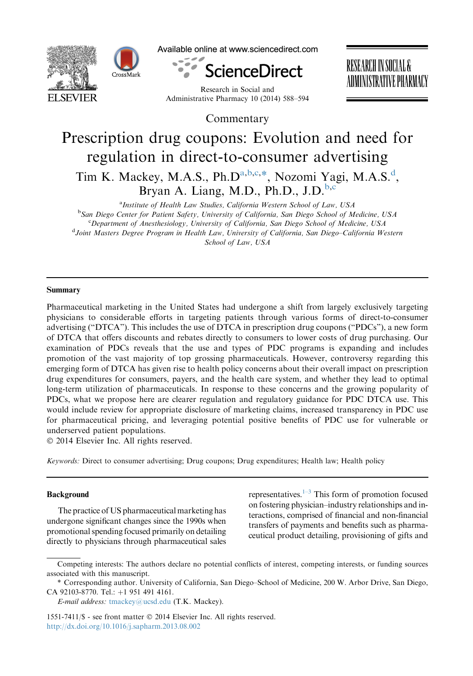



Available online at www.sciencedirect.com



[Research in Social and](http://dx.doi.org/10.1016/j.sapharm.2013.08.002) [Administrative Pharmacy 10 \(2014\) 588–594](http://dx.doi.org/10.1016/j.sapharm.2013.08.002) RESEARCH IN SOCIAL & ADMINISTRATIVE PHARMACY

Commentary

# Prescription drug coupons: Evolution and need for regulation in direct-to-consumer advertising Tim K. Mackey, M.A.S., Ph.D<sup>a,b,c,\*</sup>, Nozomi Yagi, M.A.S.<sup>d</sup>, Bryan A. Liang, M.D., Ph.D.,  $J.D.<sup>b,c</sup>$

<sup>a</sup> Institute of Health Law Studies, California Western School of Law, USA <sup>b</sup> San Diego Center for Patient Safety, University of California, San Diego School of Medicine, USA <sup>c</sup> Department of Anesthesiology, University of California, San Diego School of Medicine, USA d Joint Masters Degree Program in Health Law, University of California, San Diego–California Western School of Law, USA

## Summary

Pharmaceutical marketing in the United States had undergone a shift from largely exclusively targeting physicians to considerable efforts in targeting patients through various forms of direct-to-consumer advertising ("DTCA"). This includes the use of DTCA in prescription drug coupons ("PDCs"), a new form of DTCA that offers discounts and rebates directly to consumers to lower costs of drug purchasing. Our examination of PDCs reveals that the use and types of PDC programs is expanding and includes promotion of the vast majority of top grossing pharmaceuticals. However, controversy regarding this emerging form of DTCA has given rise to health policy concerns about their overall impact on prescription drug expenditures for consumers, payers, and the health care system, and whether they lead to optimal long-term utilization of pharmaceuticals. In response to these concerns and the growing popularity of PDCs, what we propose here are clearer regulation and regulatory guidance for PDC DTCA use. This would include review for appropriate disclosure of marketing claims, increased transparency in PDC use for pharmaceutical pricing, and leveraging potential positive benefits of PDC use for vulnerable or underserved patient populations.

2014 Elsevier Inc. All rights reserved.

Keywords: Direct to consumer advertising; Drug coupons; Drug expenditures; Health law; Health policy

# Background

The practice of US pharmaceutical marketing has undergone significant changes since the 1990s when promotional spending focused primarily on detailing directly to physicians through pharmaceutical sales representatives. $1-3$  This form of promotion focused on fostering physician–industry relationships and interactions, comprised of financial and non-financial transfers of payments and benefits such as pharmaceutical product detailing, provisioning of gifts and

Competing interests: The authors declare no potential conflicts of interest, competing interests, or funding sources associated with this manuscript.

<sup>\*</sup> Corresponding author. University of California, San Diego–School of Medicine, 200 W. Arbor Drive, San Diego, CA 92103-8770. Tel.: +1 951 491 4161.

E-mail address: [tmackey@ucsd.edu](mailto:tmackey@ucsd.edu) (T.K. Mackey).

<sup>1551-7411/\$ -</sup> see front matter 2014 Elsevier Inc. All rights reserved. <http://dx.doi.org/10.1016/j.sapharm.2013.08.002>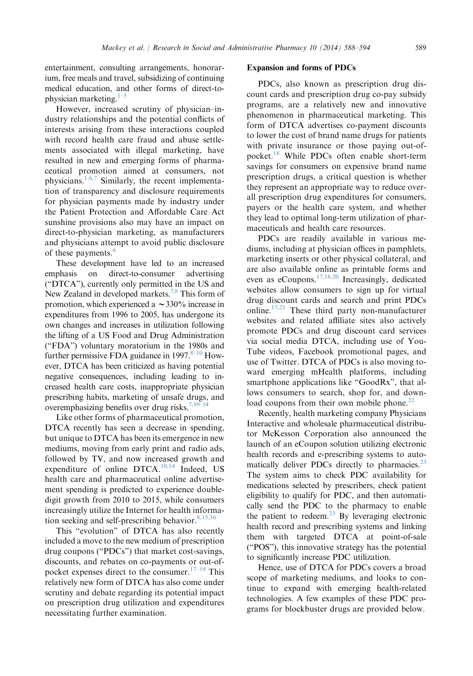entertainment, consulting arrangements, honorarium, free meals and travel, subsidizing of continuing medical education, and other forms of direct-tophysician marketing.<sup>1-5</sup>

However, increased scrutiny of physician–industry relationships and the potential conflicts of interests arising from these interactions coupled with record health care fraud and abuse settlements associated with illegal marketing, have resulted in new and emerging forms of pharmaceutical promotion aimed at consumers, not physicians.<sup>[1,6,7](#page-5-0)</sup> Similarly, the recent implementation of transparency and disclosure requirements for physician payments made by industry under the Patient Protection and Affordable Care Act sunshine provisions also may have an impact on direct-to-physician marketing, as manufacturers and physicians attempt to avoid public disclosure of these payments.<sup>[6](#page-5-0)</sup>

These development have led to an increased emphasis on direct-to-consumer advertising ("DTCA"), currently only permitted in the US and New Zealand in developed markets.<sup>7,8</sup> This form of promotion, which experienced a  $\sim$  330% increase in expenditures from 1996 to 2005, has undergone its own changes and increases in utilization following the lifting of a US Food and Drug Administration ("FDA") voluntary moratorium in the 1980s and further permissive FDA guidance in  $1997$ <sup>[8–10](#page-5-0)</sup> However, DTCA has been criticized as having potential negative consequences, including leading to increased health care costs, inappropriate physician prescribing habits, marketing of unsafe drugs, and overemphasizing benefits over drug risks. $7,10-14$ 

Like other forms of pharmaceutical promotion, DTCA recently has seen a decrease in spending, but unique to DTCA has been its emergence in new mediums, moving from early print and radio ads, followed by TV, and now increased growth and expenditure of online DTCA.<sup>[10,14](#page-5-0)</sup> Indeed, US health care and pharmaceutical online advertisement spending is predicted to experience doubledigit growth from 2010 to 2015, while consumers increasingly utilize the Internet for health informa-tion seeking and self-prescribing behavior.<sup>[8,15,16](#page-5-0)</sup>

This "evolution" of DTCA has also recently included a move to the new medium of prescription drug coupons ("PDCs") that market cost-savings, discounts, and rebates on co-payments or out-ofpocket expenses direct to the consumer. $17-19$  This relatively new form of DTCA has also come under scrutiny and debate regarding its potential impact on prescription drug utilization and expenditures necessitating further examination.

#### Expansion and forms of PDCs

PDCs, also known as prescription drug discount cards and prescription drug co-pay subsidy programs, are a relatively new and innovative phenomenon in pharmaceutical marketing. This form of DTCA advertises co-payment discounts to lower the cost of brand name drugs for patients with private insurance or those paying out-ofpocket.[18](#page-6-0) While PDCs often enable short-term savings for consumers on expensive brand name prescription drugs, a critical question is whether they represent an appropriate way to reduce overall prescription drug expenditures for consumers, payers or the health care system, and whether they lead to optimal long-term utilization of pharmaceuticals and health care resources.

PDCs are readily available in various mediums, including at physician offices in pamphlets, marketing inserts or other physical collateral, and are also available online as printable forms and even as eCoupons.[17,18,20](#page-6-0) Increasingly, dedicated websites allow consumers to sign up for virtual drug discount cards and search and print PDCs online.[17,21](#page-6-0) These third party non-manufacturer websites and related affiliate sites also actively promote PDCs and drug discount card services via social media DTCA, including use of You-Tube videos, Facebook promotional pages, and use of Twitter. DTCA of PDCs is also moving toward emerging mHealth platforms, including smartphone applications like "GoodRx", that allows consumers to search, shop for, and down-load coupons from their own mobile phone.<sup>[22](#page-6-0)</sup>

Recently, health marketing company Physicians Interactive and wholesale pharmaceutical distributor McKesson Corporation also announced the launch of an eCoupon solution utilizing electronic health records and e-prescribing systems to automatically deliver PDCs directly to pharmacies. $23$ The system aims to check PDC availability for medications selected by prescribers, check patient eligibility to qualify for PDC, and then automatically send the PDC to the pharmacy to enable the patient to redeem. $^{23}$  $^{23}$  $^{23}$  By leveraging electronic health record and prescribing systems and linking them with targeted DTCA at point-of-sale ("POS"), this innovative strategy has the potential to significantly increase PDC utilization.

Hence, use of DTCA for PDCs covers a broad scope of marketing mediums, and looks to continue to expand with emerging health-related technologies. A few examples of these PDC programs for blockbuster drugs are provided below.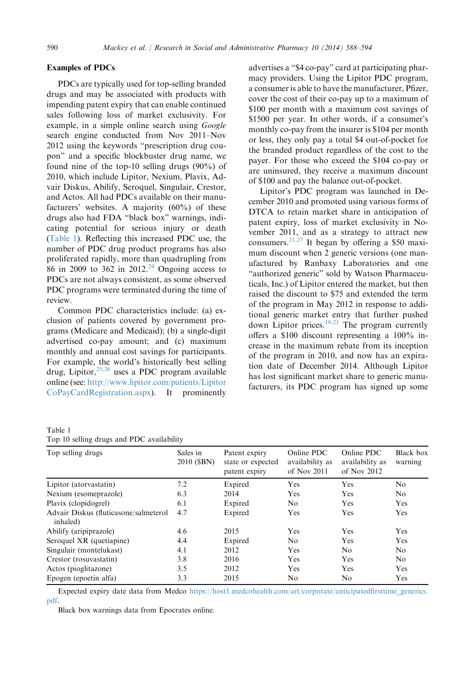#### Examples of PDCs

PDCs are typically used for top-selling branded drugs and may be associated with products with impending patent expiry that can enable continued sales following loss of market exclusivity. For example, in a simple online search using Google search engine conducted from Nov 2011–Nov 2012 using the keywords "prescription drug coupon" and a specific blockbuster drug name, we found nine of the top-10 selling drugs (90%) of 2010, which include Lipitor, Nexium, Plavix, Advair Diskus, Abilify, Seroquel, Singulair, Crestor, and Actos. All had PDCs available on their manufacturers' websites. A majority (60%) of these drugs also had FDA "black box" warnings, indicating potential for serious injury or death (Table 1). Reflecting this increased PDC use, the number of PDC drug product programs has also proliferated rapidly, more than quadrupling from 86 in 2009 to 362 in 2012.<sup>[24](#page-6-0)</sup> Ongoing access to PDCs are not always consistent, as some observed PDC programs were terminated during the time of review.

Common PDC characteristics include: (a) exclusion of patients covered by government programs (Medicare and Medicaid); (b) a single-digit advertised co-pay amount; and (c) maximum monthly and annual cost savings for participants. For example, the world's historically best selling drug, Lipitor,  $25,26$  uses a PDC program available online (see: [http://www.lipitor.com/patients/Lipitor](http://www.lipitor.com/patients/LipitorCoPayCardRegistration.aspx) [CoPayCardRegistration.aspx\)](http://www.lipitor.com/patients/LipitorCoPayCardRegistration.aspx). It prominently advertises a "\$4 co-pay" card at participating pharmacy providers. Using the Lipitor PDC program, a consumer is able to have the manufacturer, Pfizer, cover the cost of their co-pay up to a maximum of \$100 per month with a maximum cost savings of \$1500 per year. In other words, if a consumer's monthly co-pay from the insurer is \$104 per month or less, they only pay a total \$4 out-of-pocket for the branded product regardless of the cost to the payer. For those who exceed the \$104 co-pay or are uninsured, they receive a maximum discount of \$100 and pay the balance out-of-pocket.

Lipitor's PDC program was launched in December 2010 and promoted using various forms of DTCA to retain market share in anticipation of patent expiry, loss of market exclusivity in November 2011, and as a strategy to attract new consumers.[21,27](#page-6-0) It began by offering a \$50 maximum discount when 2 generic versions (one manufactured by Ranbaxy Laboratories and one "authorized generic" sold by Watson Pharmaceuticals, Inc.) of Lipitor entered the market, but then raised the discount to \$75 and extended the term of the program in May 2012 in response to additional generic market entry that further pushed down Lipitor prices. $18,21$  The program currently offers a \$100 discount representing a 100% increase in the maximum rebate from its inception of the program in 2010, and now has an expiration date of December 2014. Although Lipitor has lost significant market share to generic manufacturers, its PDC program has signed up some

Table 1 Top 10 selling drugs and PDC availability

| Top selling drugs                                 | Sales in<br>2010 (\$BN) | Patent expiry<br>state or expected<br>patent expiry | Online PDC<br>availability as<br>of Nov $2011$ | Online PDC<br>availability as<br>of Nov $2012$ | Black box<br>warning |
|---------------------------------------------------|-------------------------|-----------------------------------------------------|------------------------------------------------|------------------------------------------------|----------------------|
| Lipitor (atorvastatin)                            | 7.2                     | Expired                                             | Yes                                            | Yes                                            | No.                  |
| Nexium (esomeprazole)                             | 6.3                     | 2014                                                | Yes                                            | Yes                                            | No.                  |
| Plavix (clopidogrel)                              | 6.1                     | Expired                                             | No                                             | Yes                                            | Yes                  |
| Advair Diskus (fluticasone/salmeterol<br>inhaled) | 4.7                     | Expired                                             | Yes                                            | Yes                                            | Yes                  |
| Abilify (aripiprazole)                            | 4.6                     | 2015                                                | Yes                                            | Yes                                            | Yes                  |
| Seroquel XR (quetiapine)                          | 4.4                     | Expired                                             | No                                             | Yes                                            | Yes                  |
| Singulair (montelukast)                           | 4.1                     | 2012                                                | Yes                                            | No                                             | No                   |
| Crestor (rosuvastatin)                            | 3.8                     | 2016                                                | <b>Yes</b>                                     | <b>Yes</b>                                     | No.                  |
| Actos (pioglitazone)                              | 3.5                     | 2012                                                | Yes                                            | Yes                                            | Yes                  |
| Epogen (epoetin alfa)                             | 3.3                     | 2015                                                | No                                             | No                                             | Yes                  |

Expected expiry date data from Medco [https://host1.medcohealth.com/art/corporate/anticipatedfirsttime\\_generics.](https://host1.medcohealth.com/art/corporate/anticipatedfirsttime_generics.pdf) [pdf](https://host1.medcohealth.com/art/corporate/anticipatedfirsttime_generics.pdf).

Black box warnings data from Epocrates online.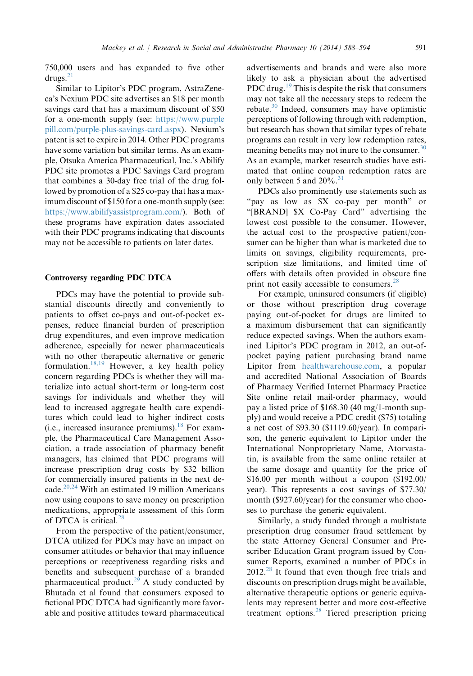750,000 users and has expanded to five other drugs. $^{21}$  $^{21}$  $^{21}$ 

Similar to Lipitor's PDC program, AstraZeneca's Nexium PDC site advertises an \$18 per month savings card that has a maximum discount of \$50 for a one-month supply (see: [https://www.purple](https://www.purplepill.com/purple-plus-savings-card.aspx) [pill.com/purple-plus-savings-card.aspx](https://www.purplepill.com/purple-plus-savings-card.aspx)). Nexium's patent is set to expire in 2014. Other PDC programs have some variation but similar terms. As an example, Otsuka America Pharmaceutical, Inc.'s Abilify PDC site promotes a PDC Savings Card program that combines a 30-day free trial of the drug followed by promotion of a \$25 co-pay that has a maximum discount of \$150 for a one-month supply (see: <https://www.abilifyassistprogram.com/>). Both of these programs have expiration dates associated with their PDC programs indicating that discounts may not be accessible to patients on later dates.

## Controversy regarding PDC DTCA

PDCs may have the potential to provide substantial discounts directly and conveniently to patients to offset co-pays and out-of-pocket expenses, reduce financial burden of prescription drug expenditures, and even improve medication adherence, especially for newer pharmaceuticals with no other therapeutic alternative or generic formulation.[18,19](#page-6-0) However, a key health policy concern regarding PDCs is whether they will materialize into actual short-term or long-term cost savings for individuals and whether they will lead to increased aggregate health care expenditures which could lead to higher indirect costs (i.e., increased insurance premiums).<sup>[18](#page-6-0)</sup> For example, the Pharmaceutical Care Management Association, a trade association of pharmacy benefit managers, has claimed that PDC programs will increase prescription drug costs by \$32 billion for commercially insured patients in the next decade. $20,24$  With an estimated 19 million Americans now using coupons to save money on prescription medications, appropriate assessment of this form of DTCA is critical.<sup>[28](#page-6-0)</sup>

From the perspective of the patient/consumer, DTCA utilized for PDCs may have an impact on consumer attitudes or behavior that may influence perceptions or receptiveness regarding risks and benefits and subsequent purchase of a branded pharmaceutical product.<sup>[29](#page-6-0)</sup> A study conducted by Bhutada et al found that consumers exposed to fictional PDC DTCA had significantly more favorable and positive attitudes toward pharmaceutical advertisements and brands and were also more likely to ask a physician about the advertised PDC drug.<sup>19</sup> This is despite the risk that consumers may not take all the necessary steps to redeem the rebate.[30](#page-6-0) Indeed, consumers may have optimistic perceptions of following through with redemption, but research has shown that similar types of rebate programs can result in very low redemption rates, meaning benefits may not inure to the consumer.<sup>[30](#page-6-0)</sup> As an example, market research studies have estimated that online coupon redemption rates are only between 5 and  $20\%$ .<sup>[31](#page-6-0)</sup>

PDCs also prominently use statements such as "pay as low as \$X co-pay per month" or "[BRAND] \$X Co-Pay Card" advertising the lowest cost possible to the consumer. However, the actual cost to the prospective patient/consumer can be higher than what is marketed due to limits on savings, eligibility requirements, prescription size limitations, and limited time of offers with details often provided in obscure fine print not easily accessible to consumers.<sup>[28](#page-6-0)</sup>

For example, uninsured consumers (if eligible) or those without prescription drug coverage paying out-of-pocket for drugs are limited to a maximum disbursement that can significantly reduce expected savings. When the authors examined Lipitor's PDC program in 2012, an out-ofpocket paying patient purchasing brand name Lipitor from [healthwarehouse.com,](http://healthwarehouse.com) a popular and accredited National Association of Boards of Pharmacy Verified Internet Pharmacy Practice Site online retail mail-order pharmacy, would pay a listed price of \$168.30 (40 mg/1-month supply) and would receive a PDC credit (\$75) totaling a net cost of \$93.30 (\$1119.60/year). In comparison, the generic equivalent to Lipitor under the International Nonproprietary Name, Atorvastatin, is available from the same online retailer at the same dosage and quantity for the price of \$16.00 per month without a coupon (\$192.00/ year). This represents a cost savings of \$77.30/ month (\$927.60/year) for the consumer who chooses to purchase the generic equivalent.

Similarly, a study funded through a multistate prescription drug consumer fraud settlement by the state Attorney General Consumer and Prescriber Education Grant program issued by Consumer Reports, examined a number of PDCs in  $2012<sup>28</sup>$  It found that even though free trials and discounts on prescription drugs might be available, alternative therapeutic options or generic equivalents may represent better and more cost-effective treatment options.[28](#page-6-0) Tiered prescription pricing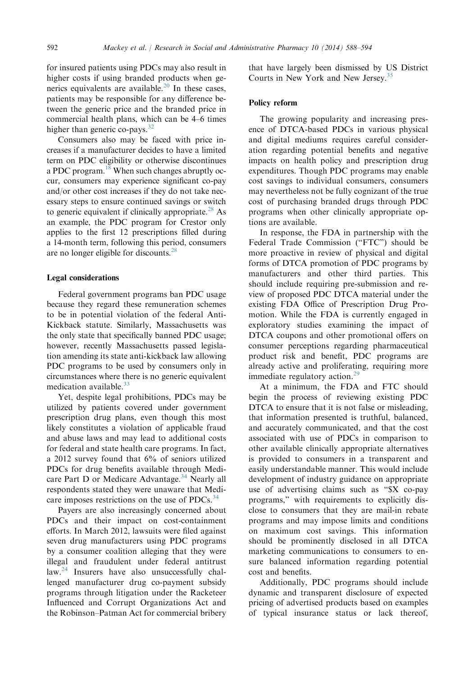for insured patients using PDCs may also result in higher costs if using branded products when ge-nerics equivalents are available.<sup>[20](#page-6-0)</sup> In these cases, patients may be responsible for any difference between the generic price and the branded price in commercial health plans, which can be 4–6 times higher than generic co-pays.<sup>[32](#page-6-0)</sup>

Consumers also may be faced with price increases if a manufacturer decides to have a limited term on PDC eligibility or otherwise discontinues a PDC program. $18$  When such changes abruptly occur, consumers may experience significant co-pay and/or other cost increases if they do not take necessary steps to ensure continued savings or switch to generic equivalent if clinically appropriate.<sup>28</sup> As an example, the PDC program for Crestor only applies to the first 12 prescriptions filled during a 14-month term, following this period, consumers are no longer eligible for discounts.<sup>28</sup>

#### Legal considerations

Federal government programs ban PDC usage because they regard these remuneration schemes to be in potential violation of the federal Anti-Kickback statute. Similarly, Massachusetts was the only state that specifically banned PDC usage; however, recently Massachusetts passed legislation amending its state anti-kickback law allowing PDC programs to be used by consumers only in circumstances where there is no generic equivalent medication available. $33$ 

Yet, despite legal prohibitions, PDCs may be utilized by patients covered under government prescription drug plans, even though this most likely constitutes a violation of applicable fraud and abuse laws and may lead to additional costs for federal and state health care programs. In fact, a 2012 survey found that 6% of seniors utilized PDCs for drug benefits available through Medi-care Part D or Medicare Advantage.<sup>[34](#page-6-0)</sup> Nearly all respondents stated they were unaware that Medi-care imposes restrictions on the use of PDCs.<sup>[34](#page-6-0)</sup>

Payers are also increasingly concerned about PDCs and their impact on cost-containment efforts. In March 2012, lawsuits were filed against seven drug manufacturers using PDC programs by a consumer coalition alleging that they were illegal and fraudulent under federal antitrust law.<sup>24</sup> Insurers have also unsuccessfully challenged manufacturer drug co-payment subsidy programs through litigation under the Racketeer Influenced and Corrupt Organizations Act and the Robinson–Patman Act for commercial bribery

that have largely been dismissed by US District Courts in New York and New Jersey.[35](#page-6-0)

## Policy reform

The growing popularity and increasing presence of DTCA-based PDCs in various physical and digital mediums requires careful consideration regarding potential benefits and negative impacts on health policy and prescription drug expenditures. Though PDC programs may enable cost savings to individual consumers, consumers may nevertheless not be fully cognizant of the true cost of purchasing branded drugs through PDC programs when other clinically appropriate options are available.

In response, the FDA in partnership with the Federal Trade Commission ("FTC") should be more proactive in review of physical and digital forms of DTCA promotion of PDC programs by manufacturers and other third parties. This should include requiring pre-submission and review of proposed PDC DTCA material under the existing FDA Office of Prescription Drug Promotion. While the FDA is currently engaged in exploratory studies examining the impact of DTCA coupons and other promotional offers on consumer perceptions regarding pharmaceutical product risk and benefit, PDC programs are already active and proliferating, requiring more immediate regulatory action.<sup>[29](#page-6-0)</sup>

At a minimum, the FDA and FTC should begin the process of reviewing existing PDC DTCA to ensure that it is not false or misleading, that information presented is truthful, balanced, and accurately communicated, and that the cost associated with use of PDCs in comparison to other available clinically appropriate alternatives is provided to consumers in a transparent and easily understandable manner. This would include development of industry guidance on appropriate use of advertising claims such as "\$X co-pay programs," with requirements to explicitly disclose to consumers that they are mail-in rebate programs and may impose limits and conditions on maximum cost savings. This information should be prominently disclosed in all DTCA marketing communications to consumers to ensure balanced information regarding potential cost and benefits.

Additionally, PDC programs should include dynamic and transparent disclosure of expected pricing of advertised products based on examples of typical insurance status or lack thereof,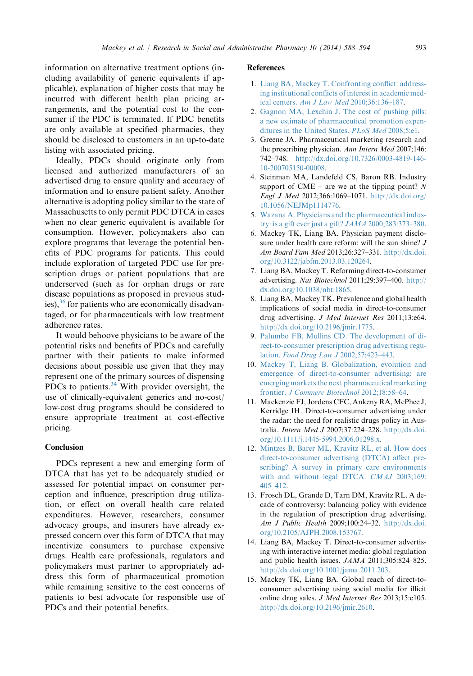<span id="page-5-0"></span>information on alternative treatment options (including availability of generic equivalents if applicable), explanation of higher costs that may be incurred with different health plan pricing arrangements, and the potential cost to the consumer if the PDC is terminated. If PDC benefits are only available at specified pharmacies, they should be disclosed to customers in an up-to-date listing with associated pricing.

Ideally, PDCs should originate only from licensed and authorized manufacturers of an advertised drug to ensure quality and accuracy of information and to ensure patient safety. Another alternative is adopting policy similar to the state of Massachusetts to only permit PDC DTCA in cases when no clear generic equivalent is available for consumption. However, policymakers also can explore programs that leverage the potential benefits of PDC programs for patients. This could include exploration of targeted PDC use for prescription drugs or patient populations that are underserved (such as for orphan drugs or rare disease populations as proposed in previous studies),  $36$  for patients who are economically disadvantaged, or for pharmaceuticals with low treatment adherence rates.

It would behoove physicians to be aware of the potential risks and benefits of PDCs and carefully partner with their patients to make informed decisions about possible use given that they may represent one of the primary sources of dispensing PDCs to patients.<sup>[34](#page-6-0)</sup> With provider oversight, the use of clinically-equivalent generics and no-cost/ low-cost drug programs should be considered to ensure appropriate treatment at cost-effective pricing.

## Conclusion

PDCs represent a new and emerging form of DTCA that has yet to be adequately studied or assessed for potential impact on consumer perception and influence, prescription drug utilization, or effect on overall health care related expenditures. However, researchers, consumer advocacy groups, and insurers have already expressed concern over this form of DTCA that may incentivize consumers to purchase expensive drugs. Health care professionals, regulators and policymakers must partner to appropriately address this form of pharmaceutical promotion while remaining sensitive to the cost concerns of patients to best advocate for responsible use of PDCs and their potential benefits.

#### References

- 1. [Liang BA, Mackey T. Confronting conflict: address](http://refhub.elsevier.com/S1551-7411(13)00152-6/sref1)[ing institutional conflicts of interest in academic med](http://refhub.elsevier.com/S1551-7411(13)00152-6/sref1)ical centers. Am J Law Med 2010;36:136-187.
- 2. [Gagnon MA, Lexchin J. The cost of pushing pills:](http://refhub.elsevier.com/S1551-7411(13)00152-6/sref2) [a new estimate of pharmaceutical promotion expen](http://refhub.elsevier.com/S1551-7411(13)00152-6/sref2)[ditures in the United States.](http://refhub.elsevier.com/S1551-7411(13)00152-6/sref2) PLoS Med 2008;5:e1.
- 3. Greene JA. Pharmaceutical marketing research and the prescribing physician. Ann Intern Med 2007;146: 742–748. [http://dx.doi.org/10.7326/0003-4819-146-](http://dx.doi.org/10.7326/0003-4819-146-10-200705150-00008) [10-200705150-00008.](http://dx.doi.org/10.7326/0003-4819-146-10-200705150-00008)
- 4. Steinman MA, Landefeld CS, Baron RB. Industry support of  $CME$  – are we at the tipping point? N Engl J Med 2012;366:1069–1071. [http://dx.doi.org/](http://dx.doi.org/10.1056/NEJMp1114776) [10.1056/NEJMp1114776](http://dx.doi.org/10.1056/NEJMp1114776).
- 5. [Wazana A. Physicians and the pharmaceutical indus](http://refhub.elsevier.com/S1551-7411(13)00152-6/sref5)[try: is a gift ever just a gift?](http://refhub.elsevier.com/S1551-7411(13)00152-6/sref5) JAMA 2000;283:373–380.
- 6. Mackey TK, Liang BA. Physician payment disclosure under health care reform: will the sun shine? J Am Board Fam Med 2013;26:327–331. [http://dx.doi.](http://dx.doi.org/10.3122/jabfm.2013.03.120264) [org/10.3122/jabfm.2013.03.120264.](http://dx.doi.org/10.3122/jabfm.2013.03.120264)
- 7. Liang BA, Mackey T. Reforming direct-to-consumer advertising. Nat Biotechnol 2011;29:397–400. [http://](http://dx.doi.org/10.1038/nbt.1865) [dx.doi.org/10.1038/nbt.1865.](http://dx.doi.org/10.1038/nbt.1865)
- 8. Liang BA, Mackey TK. Prevalence and global health implications of social media in direct-to-consumer drug advertising. J Med Internet Res 2011;13:e64. [http://dx.doi.org/10.2196/jmir.1775.](http://dx.doi.org/10.2196/jmir.1775)
- 9. [Palumbo FB, Mullins CD. The development of di](http://refhub.elsevier.com/S1551-7411(13)00152-6/sref9)[rect-to-consumer prescription drug advertising regu-](http://refhub.elsevier.com/S1551-7411(13)00152-6/sref9)lation. [Food Drug Law J](http://refhub.elsevier.com/S1551-7411(13)00152-6/sref9) 2002;57:423-443.
- 10. [Mackey T, Liang B. Globalization, evolution and](http://refhub.elsevier.com/S1551-7411(13)00152-6/sref10) [emergence of direct-to-consumer advertising: are](http://refhub.elsevier.com/S1551-7411(13)00152-6/sref10) [emerging markets the next pharmaceutical marketing](http://refhub.elsevier.com/S1551-7411(13)00152-6/sref10) frontier. [J Commerc Biotechnol](http://refhub.elsevier.com/S1551-7411(13)00152-6/sref10) 2012;18:58–64.
- 11. Mackenzie FJ, Jordens CFC, Ankeny RA, McPhee J, Kerridge IH. Direct-to-consumer advertising under the radar: the need for realistic drugs policy in Australia. Intern Med J 2007;37:224-228. [http://dx.doi.](http://dx.doi.org/10.1111/j.1445-5994.2006.01298.x) [org/10.1111/j.1445-5994.2006.01298.x.](http://dx.doi.org/10.1111/j.1445-5994.2006.01298.x)
- 12. [Mintzes B, Barer ML, Kravitz RL, et al. How does](http://refhub.elsevier.com/S1551-7411(13)00152-6/sref12) [direct-to-consumer advertising \(DTCA\) affect pre](http://refhub.elsevier.com/S1551-7411(13)00152-6/sref12)[scribing? A survey in primary care environments](http://refhub.elsevier.com/S1551-7411(13)00152-6/sref12) [with and without legal DTCA.](http://refhub.elsevier.com/S1551-7411(13)00152-6/sref12) CMAJ 2003;169: [405–412.](http://refhub.elsevier.com/S1551-7411(13)00152-6/sref12)
- 13. Frosch DL, Grande D, Tarn DM, Kravitz RL. A decade of controversy: balancing policy with evidence in the regulation of prescription drug advertising. Am J Public Health 2009;100:24–32. [http://dx.doi.](http://dx.doi.org/10.2105/AJPH.2008.153767) [org/10.2105/AJPH.2008.153767.](http://dx.doi.org/10.2105/AJPH.2008.153767)
- 14. Liang BA, Mackey T. Direct-to-consumer advertising with interactive internet media: global regulation and public health issues. JAMA 2011;305:824–825. [http://dx.doi.org/10.1001/jama.2011.203.](http://dx.doi.org/10.1001/jama.2011.203)
- 15. Mackey TK, Liang BA. Global reach of direct-toconsumer advertising using social media for illicit online drug sales. J Med Internet Res 2013;15:e105. [http://dx.doi.org/10.2196/jmir.2610.](http://dx.doi.org/10.2196/jmir.2610)